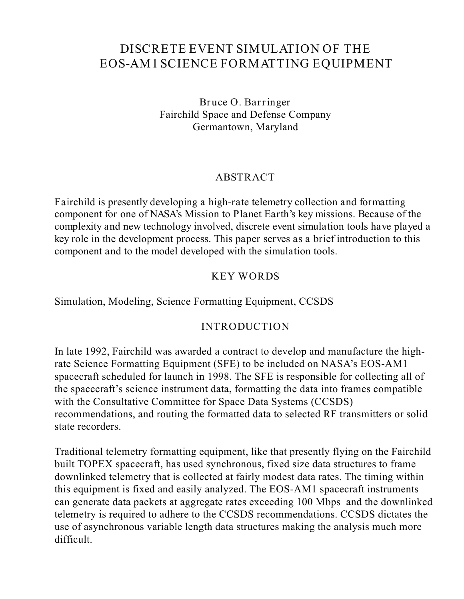# **DISCRETEEVENT SIMULATION OF THE EOS-AM1 SCIENCEFORMATTING EQUIPMENT**

**Bruce O. Barringer** Fairchild Space and Defense Company Germantown, Maryland

### **ABSTRACT**

*Fairchild is presently developing a high-rate telemetry collection and formatting component for one of NASA's Mission to Planet Earth's key missions. Because of the complexity and new technology involved, discrete event simulation tools have played a key role in the development process. This paper serves as a brief introduction to this component and to the model developed with the simulation tools.*

## **KEY WORDS**

Simulation, Modeling, Science Formatting Equipment, CCSDS

#### **INTRODUCTION**

In late 1992, Fairchild was awarded a contract to develop and manufacture the highrate Science Formatting Equipment (SFE) to be included on NASA's EOS-AM1 spacecraft scheduled for launch in 1998. The SFE is responsible for collecting all of the spacecraft's science instrument data, formatting the data into frames compatible with the Consultative Committee for Space Data Systems (CCSDS) recommendations, and routing the formatted data to selected RF transmitters or solid state recorders.

Traditional telemetry formatting equipment, like that presently flying on the Fairchild built TOPEX spacecraft, has used synchronous, fixed size data structures to frame downlinked telemetry that is collected at fairly modest data rates. The timing within this equipment is fixed and easily analyzed. The EOS-AM1 spacecraft instruments can generate data packets at aggregate rates exceeding 100 Mbps and the downlinked telemetry is required to adhere to the CCSDS recommendations. CCSDS dictates the use of asynchronous variable length data structures making the analysis much more difficult.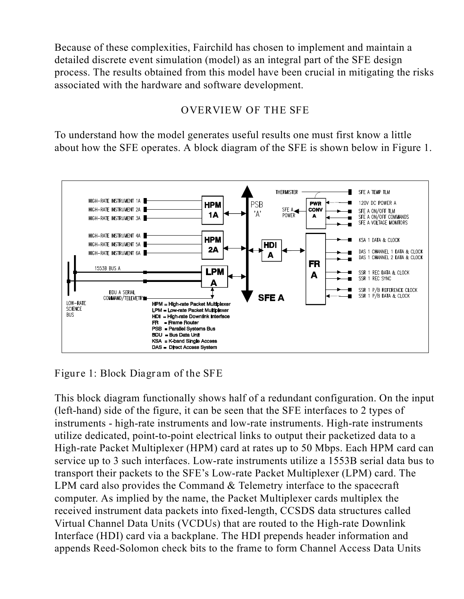Because of these complexities, Fairchild has chosen to implement and maintain a detailed discrete event simulation (model) as an integral part of the SFE design process. The results obtained from this model have been crucial in mitigating the risks associated with the hardware and software development.

## **OVERVIEW OF THE SFE**

To understand how the model generates useful results one must first know a little about how the SFE operates. A block diagram of the SFE is shown below in Figure 1.



**Figure 1: Block Diagram of the SFE**

This block diagram functionally shows half of a redundant configuration. On the input (left-hand) side of the figure, it can be seen that the SFE interfaces to 2 types of instruments - high-rate instruments and low-rate instruments. High-rate instruments utilize dedicated, point-to-point electrical links to output their packetized data to a High-rate Packet Multiplexer (HPM) card at rates up to 50 Mbps. Each HPM card can service up to 3 such interfaces. Low-rate instruments utilize a 1553B serial data bus to transport their packets to the SFE's Low-rate Packet Multiplexer (LPM) card. The LPM card also provides the Command & Telemetry interface to the spacecraft computer. As implied by the name, the Packet Multiplexer cards multiplex the received instrument data packets into fixed-length, CCSDS data structures called Virtual Channel Data Units (VCDUs) that are routed to the High-rate Downlink Interface (HDI) card via a backplane. The HDI prepends header information and appends Reed-Solomon check bits to the frame to form Channel Access Data Units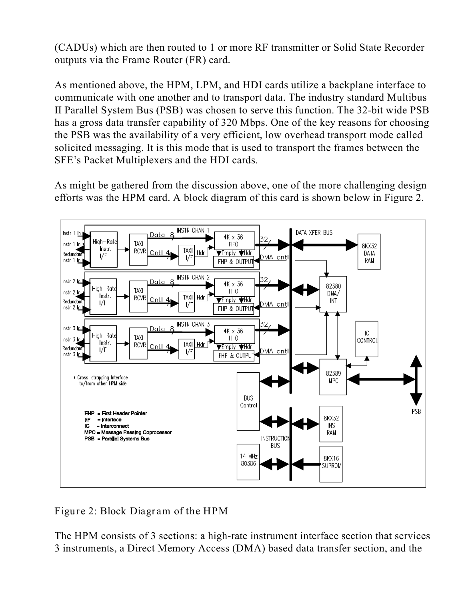(CADUs) which are then routed to 1 or more RF transmitter or Solid State Recorder outputs via the Frame Router (FR) card.

As mentioned above, the HPM, LPM, and HDI cards utilize a backplane interface to communicate with one another and to transport data. The industry standard Multibus II Parallel System Bus (PSB) was chosen to serve this function. The 32-bit wide PSB has a gross data transfer capability of 320 Mbps. One of the key reasons for choosing the PSB was the availability of a very efficient, low overhead transport mode called solicited messaging. It is this mode that is used to transport the frames between the SFE's Packet Multiplexers and the HDI cards.

As might be gathered from the discussion above, one of the more challenging design efforts was the HPM card. A block diagram of this card is shown below in Figure 2.



**Figure 2: Block Diagram of the HPM**

The HPM consists of 3 sections: a high-rate instrument interface section that services 3 instruments, a Direct Memory Access (DMA) based data transfer section, and the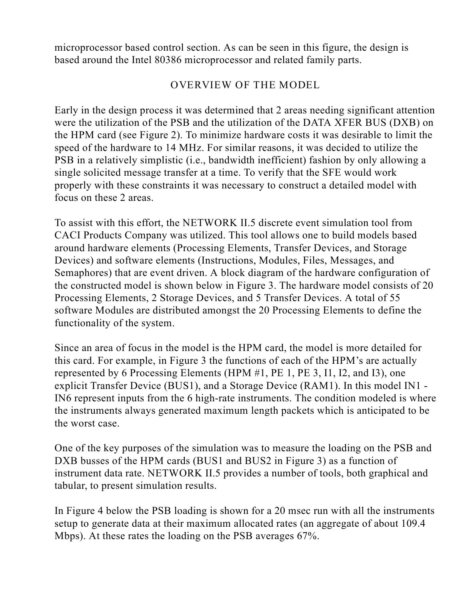microprocessor based control section. As can be seen in this figure, the design is based around the Intel 80386 microprocessor and related family parts.

### **OVERVIEW OF THE MODEL**

Early in the design process it was determined that 2 areas needing significant attention were the utilization of the PSB and the utilization of the DATA XFER BUS (DXB) on the HPM card (see Figure 2). To minimize hardware costs it was desirable to limit the speed of the hardware to 14 MHz. For similar reasons, it was decided to utilize the PSB in a relatively simplistic (i.e., bandwidth inefficient) fashion by only allowing a single solicited message transfer at a time. To verify that the SFE would work properly with these constraints it was necessary to construct a detailed model with focus on these 2 areas.

To assist with this effort, the NETWORK II.5 discrete event simulation tool from CACI Products Company was utilized. This tool allows one to build models based around hardware elements (Processing Elements, Transfer Devices, and Storage Devices) and software elements (Instructions, Modules, Files, Messages, and Semaphores) that are event driven. A block diagram of the hardware configuration of the constructed model is shown below in Figure 3. The hardware model consists of 20 Processing Elements, 2 Storage Devices, and 5 Transfer Devices. A total of 55 software Modules are distributed amongst the 20 Processing Elements to define the functionality of the system.

Since an area of focus in the model is the HPM card, the model is more detailed for this card. For example, in Figure 3 the functions of each of the HPM's are actually represented by 6 Processing Elements (HPM #1, PE 1, PE 3, I1, I2, and I3), one explicit Transfer Device (BUS1), and a Storage Device (RAM1). In this model IN1 - IN6 represent inputs from the 6 high-rate instruments. The condition modeled is where the instruments always generated maximum length packets which is anticipated to be the worst case.

One of the key purposes of the simulation was to measure the loading on the PSB and DXB busses of the HPM cards (BUS1 and BUS2 in Figure 3) as a function of instrument data rate. NETWORK II.5 provides a number of tools, both graphical and tabular, to present simulation results.

In Figure 4 below the PSB loading is shown for a 20 msec run with all the instruments setup to generate data at their maximum allocated rates (an aggregate of about 109.4 Mbps). At these rates the loading on the PSB averages 67%.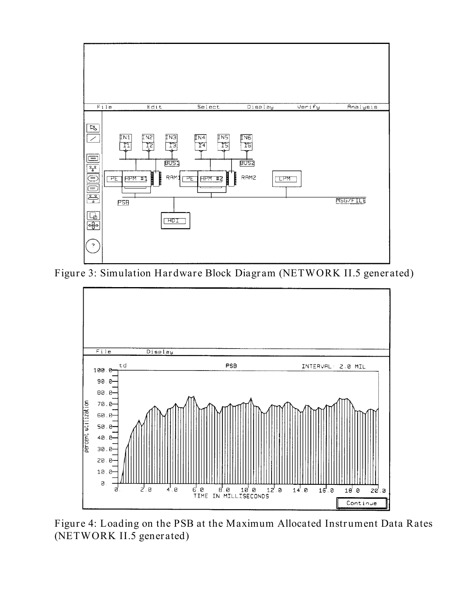

**Figure 3: Simulation Hardware Block Diagram (NETWORK II.5 generated)**



**Figure 4: Loading on the PSB at the Maximum Allocated Instrument Data Rates (NETWORK II.5 generated)**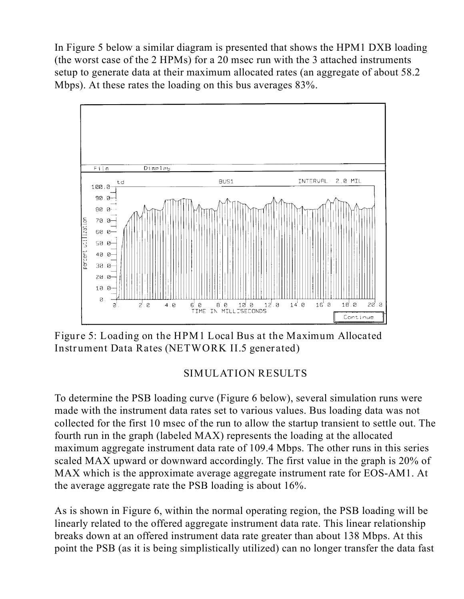In Figure 5 below a similar diagram is presented that shows the HPM1 DXB loading (the worst case of the 2 HPMs) for a 20 msec run with the 3 attached instruments setup to generate data at their maximum allocated rates (an aggregate of about 58.2 Mbps). At these rates the loading on this bus averages 83%.



**Figure 5: Loading on the HPM1 Local Bus at the Maximum Allocated Instrument Data Rates (NETWORK II.5 generated)**

## **SIMULATION RESULTS**

To determine the PSB loading curve (Figure 6 below), several simulation runs were made with the instrument data rates set to various values. Bus loading data was not collected for the first 10 msec of the run to allow the startup transient to settle out. The fourth run in the graph (labeled MAX) represents the loading at the allocated maximum aggregate instrument data rate of 109.4 Mbps. The other runs in this series scaled MAX upward or downward accordingly. The first value in the graph is 20% of MAX which is the approximate average aggregate instrument rate for EOS-AM1. At the average aggregate rate the PSB loading is about 16%.

As is shown in Figure 6, within the normal operating region, the PSB loading will be linearly related to the offered aggregate instrument data rate. This linear relationship breaks down at an offered instrument data rate greater than about 138 Mbps. At this point the PSB (as it is being simplistically utilized) can no longer transfer the data fast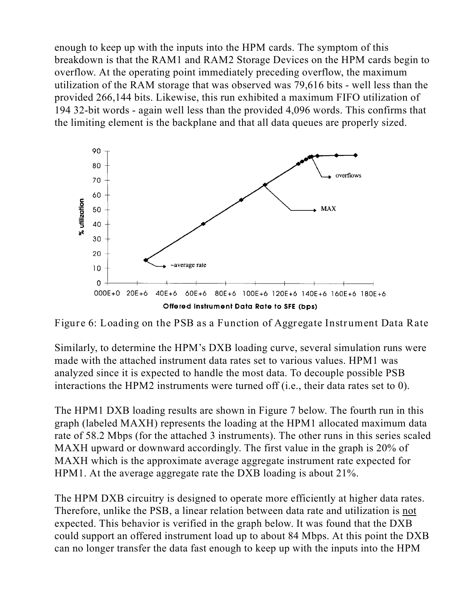enough to keep up with the inputs into the HPM cards. The symptom of this breakdown is that the RAM1 and RAM2 Storage Devices on the HPM cards begin to overflow. At the operating point immediately preceding overflow, the maximum utilization of the RAM storage that was observed was 79,616 bits - well less than the provided 266,144 bits. Likewise, this run exhibited a maximum FIFO utilization of 194 32-bit words - again well less than the provided 4,096 words. This confirms that the limiting element is the backplane and that all data queues are properly sized.



**Figure 6: Loading on the PSB as a Function of Aggregate Instrument Data Rate**

Similarly, to determine the HPM's DXB loading curve, several simulation runs were made with the attached instrument data rates set to various values. HPM1 was analyzed since it is expected to handle the most data. To decouple possible PSB interactions the HPM2 instruments were turned off (i.e., their data rates set to 0).

The HPM1 DXB loading results are shown in Figure 7 below. The fourth run in this graph (labeled MAXH) represents the loading at the HPM1 allocated maximum data rate of 58.2 Mbps (for the attached 3 instruments). The other runs in this series scaled MAXH upward or downward accordingly. The first value in the graph is 20% of MAXH which is the approximate average aggregate instrument rate expected for HPM1. At the average aggregate rate the DXB loading is about 21%.

The HPM DXB circuitry is designed to operate more efficiently at higher data rates. Therefore, unlike the PSB, a linear relation between data rate and utilization is not expected. This behavior is verified in the graph below. It was found that the DXB could support an offered instrument load up to about 84 Mbps. At this point the DXB can no longer transfer the data fast enough to keep up with the inputs into the HPM